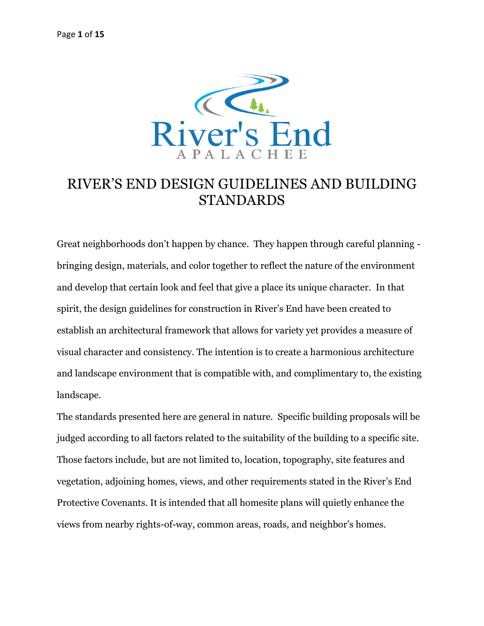

# RIVER'S END DESIGN GUIDELINES AND BUILDING STANDARDS

Great neighborhoods don't happen by chance. They happen through careful planning bringing design, materials, and color together to reflect the nature of the environment and develop that certain look and feel that give a place its unique character. In that spirit, the design guidelines for construction in River's End have been created to establish an architectural framework that allows for variety yet provides a measure of visual character and consistency. The intention is to create a harmonious architecture and landscape environment that is compatible with, and complimentary to, the existing landscape.

The standards presented here are general in nature. Specific building proposals will be judged according to all factors related to the suitability of the building to a specific site. Those factors include, but are not limited to, location, topography, site features and vegetation, adjoining homes, views, and other requirements stated in the River's End Protective Covenants. It is intended that all homesite plans will quietly enhance the views from nearby rights-of-way, common areas, roads, and neighbor's homes.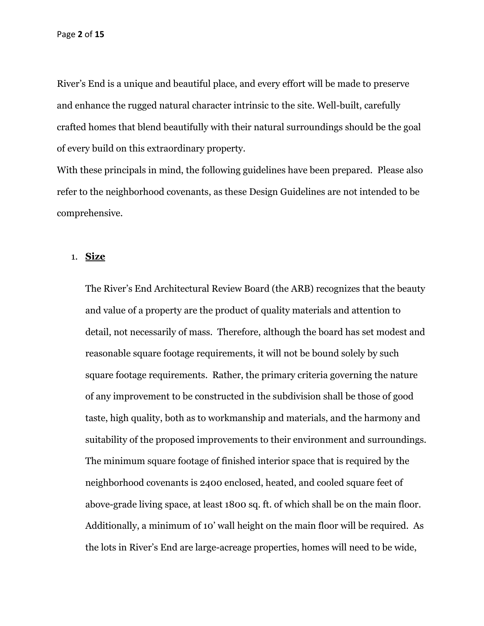River's End is a unique and beautiful place, and every effort will be made to preserve and enhance the rugged natural character intrinsic to the site. Well-built, carefully crafted homes that blend beautifully with their natural surroundings should be the goal of every build on this extraordinary property.

With these principals in mind, the following guidelines have been prepared. Please also refer to the neighborhood covenants, as these Design Guidelines are not intended to be comprehensive.

#### 1. **Size**

The River's End Architectural Review Board (the ARB) recognizes that the beauty and value of a property are the product of quality materials and attention to detail, not necessarily of mass. Therefore, although the board has set modest and reasonable square footage requirements, it will not be bound solely by such square footage requirements. Rather, the primary criteria governing the nature of any improvement to be constructed in the subdivision shall be those of good taste, high quality, both as to workmanship and materials, and the harmony and suitability of the proposed improvements to their environment and surroundings. The minimum square footage of finished interior space that is required by the neighborhood covenants is 2400 enclosed, heated, and cooled square feet of above-grade living space, at least 1800 sq. ft. of which shall be on the main floor. Additionally, a minimum of 10' wall height on the main floor will be required. As the lots in River's End are large-acreage properties, homes will need to be wide,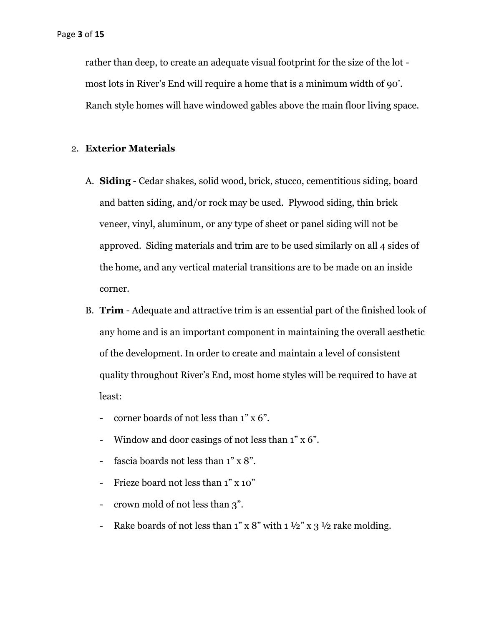rather than deep, to create an adequate visual footprint for the size of the lot most lots in River's End will require a home that is a minimum width of 90'. Ranch style homes will have windowed gables above the main floor living space.

#### 2. **Exterior Materials**

- A. **Siding** Cedar shakes, solid wood, brick, stucco, cementitious siding, board and batten siding, and/or rock may be used. Plywood siding, thin brick veneer, vinyl, aluminum, or any type of sheet or panel siding will not be approved. Siding materials and trim are to be used similarly on all 4 sides of the home, and any vertical material transitions are to be made on an inside corner.
- B. **Trim** Adequate and attractive trim is an essential part of the finished look of any home and is an important component in maintaining the overall aesthetic of the development. In order to create and maintain a level of consistent quality throughout River's End, most home styles will be required to have at least:
	- corner boards of not less than 1" x 6".
	- Window and door casings of not less than 1" x 6".
	- fascia boards not less than 1" x 8".
	- Frieze board not less than 1" x 10"
	- crown mold of not less than 3".
	- Rake boards of not less than  $1$ " x  $8$ " with  $1 \frac{1}{2}$ " x  $3 \frac{1}{2}$  rake molding.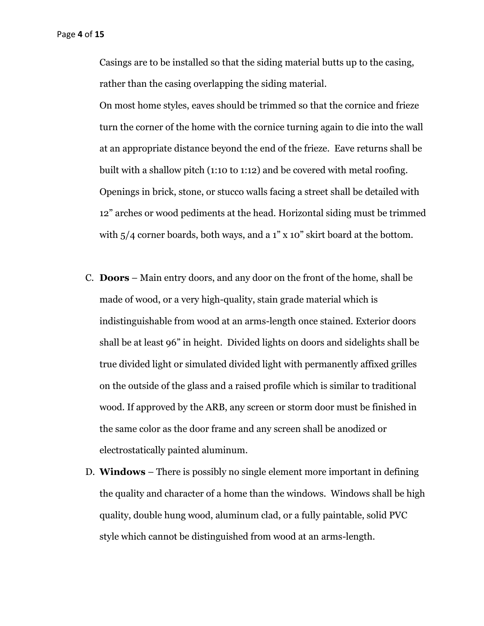Casings are to be installed so that the siding material butts up to the casing, rather than the casing overlapping the siding material.

On most home styles, eaves should be trimmed so that the cornice and frieze turn the corner of the home with the cornice turning again to die into the wall at an appropriate distance beyond the end of the frieze. Eave returns shall be built with a shallow pitch (1:10 to 1:12) and be covered with metal roofing. Openings in brick, stone, or stucco walls facing a street shall be detailed with 12" arches or wood pediments at the head. Horizontal siding must be trimmed with  $5/4$  corner boards, both ways, and a 1" x 10" skirt board at the bottom.

- C. **Doors** Main entry doors, and any door on the front of the home, shall be made of wood, or a very high-quality, stain grade material which is indistinguishable from wood at an arms-length once stained. Exterior doors shall be at least 96" in height. Divided lights on doors and sidelights shall be true divided light or simulated divided light with permanently affixed grilles on the outside of the glass and a raised profile which is similar to traditional wood. If approved by the ARB, any screen or storm door must be finished in the same color as the door frame and any screen shall be anodized or electrostatically painted aluminum.
- D. **Windows**  There is possibly no single element more important in defining the quality and character of a home than the windows. Windows shall be high quality, double hung wood, aluminum clad, or a fully paintable, solid PVC style which cannot be distinguished from wood at an arms-length.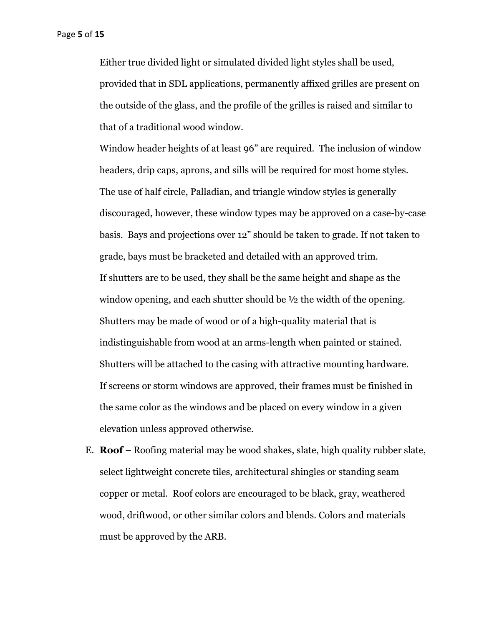Either true divided light or simulated divided light styles shall be used, provided that in SDL applications, permanently affixed grilles are present on the outside of the glass, and the profile of the grilles is raised and similar to that of a traditional wood window.

Window header heights of at least 96" are required. The inclusion of window headers, drip caps, aprons, and sills will be required for most home styles. The use of half circle, Palladian, and triangle window styles is generally discouraged, however, these window types may be approved on a case-by-case basis. Bays and projections over 12" should be taken to grade. If not taken to grade, bays must be bracketed and detailed with an approved trim. If shutters are to be used, they shall be the same height and shape as the window opening, and each shutter should be ½ the width of the opening. Shutters may be made of wood or of a high-quality material that is indistinguishable from wood at an arms-length when painted or stained. Shutters will be attached to the casing with attractive mounting hardware. If screens or storm windows are approved, their frames must be finished in the same color as the windows and be placed on every window in a given elevation unless approved otherwise.

E. **Roof** – Roofing material may be wood shakes, slate, high quality rubber slate, select lightweight concrete tiles, architectural shingles or standing seam copper or metal. Roof colors are encouraged to be black, gray, weathered wood, driftwood, or other similar colors and blends. Colors and materials must be approved by the ARB.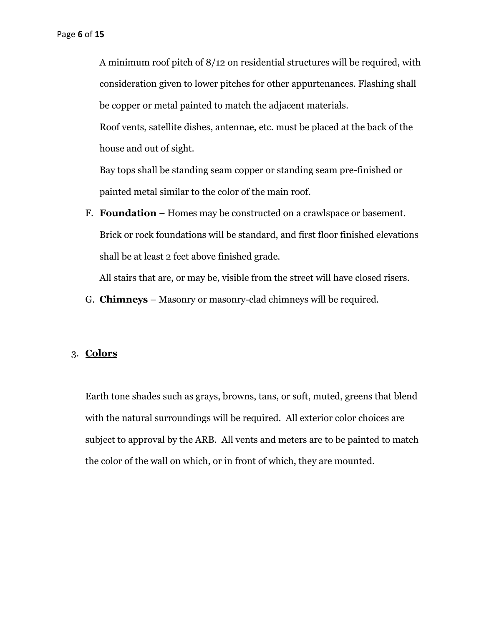A minimum roof pitch of 8/12 on residential structures will be required, with consideration given to lower pitches for other appurtenances. Flashing shall be copper or metal painted to match the adjacent materials.

Roof vents, satellite dishes, antennae, etc. must be placed at the back of the house and out of sight.

Bay tops shall be standing seam copper or standing seam pre-finished or painted metal similar to the color of the main roof.

F. **Foundation** – Homes may be constructed on a crawlspace or basement. Brick or rock foundations will be standard, and first floor finished elevations shall be at least 2 feet above finished grade.

All stairs that are, or may be, visible from the street will have closed risers.

G. **Chimneys** – Masonry or masonry-clad chimneys will be required.

### 3. **Colors**

Earth tone shades such as grays, browns, tans, or soft, muted, greens that blend with the natural surroundings will be required. All exterior color choices are subject to approval by the ARB. All vents and meters are to be painted to match the color of the wall on which, or in front of which, they are mounted.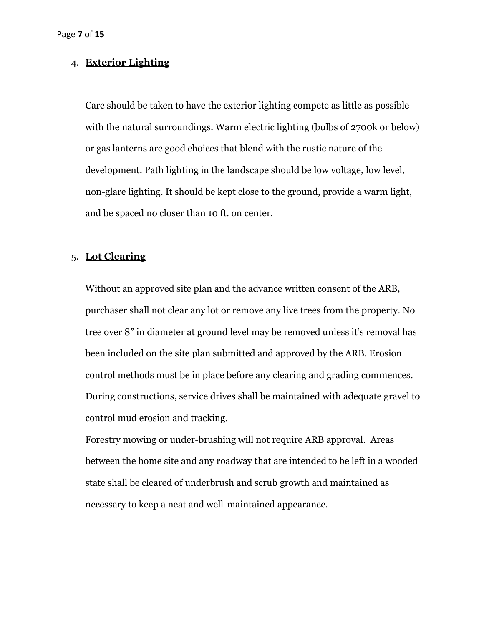## 4. **Exterior Lighting**

Care should be taken to have the exterior lighting compete as little as possible with the natural surroundings. Warm electric lighting (bulbs of 2700k or below) or gas lanterns are good choices that blend with the rustic nature of the development. Path lighting in the landscape should be low voltage, low level, non-glare lighting. It should be kept close to the ground, provide a warm light, and be spaced no closer than 10 ft. on center.

# 5. **Lot Clearing**

Without an approved site plan and the advance written consent of the ARB, purchaser shall not clear any lot or remove any live trees from the property. No tree over 8" in diameter at ground level may be removed unless it's removal has been included on the site plan submitted and approved by the ARB. Erosion control methods must be in place before any clearing and grading commences. During constructions, service drives shall be maintained with adequate gravel to control mud erosion and tracking.

Forestry mowing or under-brushing will not require ARB approval. Areas between the home site and any roadway that are intended to be left in a wooded state shall be cleared of underbrush and scrub growth and maintained as necessary to keep a neat and well-maintained appearance.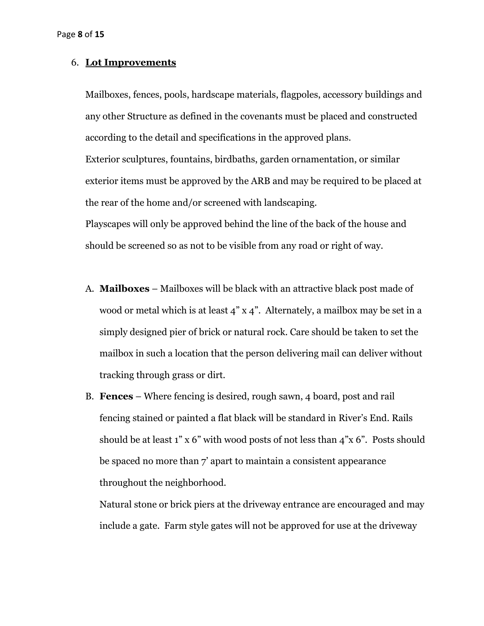#### 6. **Lot Improvements**

Mailboxes, fences, pools, hardscape materials, flagpoles, accessory buildings and any other Structure as defined in the covenants must be placed and constructed according to the detail and specifications in the approved plans. Exterior sculptures, fountains, birdbaths, garden ornamentation, or similar exterior items must be approved by the ARB and may be required to be placed at the rear of the home and/or screened with landscaping. Playscapes will only be approved behind the line of the back of the house and should be screened so as not to be visible from any road or right of way.

- A. **Mailboxes** Mailboxes will be black with an attractive black post made of wood or metal which is at least 4" x 4". Alternately, a mailbox may be set in a simply designed pier of brick or natural rock. Care should be taken to set the mailbox in such a location that the person delivering mail can deliver without tracking through grass or dirt.
- B. **Fences** Where fencing is desired, rough sawn, 4 board, post and rail fencing stained or painted a flat black will be standard in River's End. Rails should be at least  $1$ " x 6" with wood posts of not less than  $4$ " x 6". Posts should be spaced no more than 7' apart to maintain a consistent appearance throughout the neighborhood.

Natural stone or brick piers at the driveway entrance are encouraged and may include a gate. Farm style gates will not be approved for use at the driveway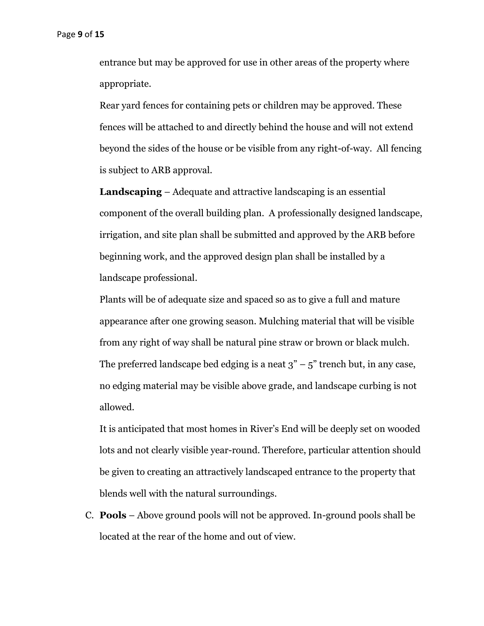entrance but may be approved for use in other areas of the property where appropriate.

Rear yard fences for containing pets or children may be approved. These fences will be attached to and directly behind the house and will not extend beyond the sides of the house or be visible from any right-of-way. All fencing is subject to ARB approval.

**Landscaping** – Adequate and attractive landscaping is an essential component of the overall building plan. A professionally designed landscape, irrigation, and site plan shall be submitted and approved by the ARB before beginning work, and the approved design plan shall be installed by a landscape professional.

Plants will be of adequate size and spaced so as to give a full and mature appearance after one growing season. Mulching material that will be visible from any right of way shall be natural pine straw or brown or black mulch. The preferred landscape bed edging is a neat  $3" - 5"$  trench but, in any case, no edging material may be visible above grade, and landscape curbing is not allowed.

It is anticipated that most homes in River's End will be deeply set on wooded lots and not clearly visible year-round. Therefore, particular attention should be given to creating an attractively landscaped entrance to the property that blends well with the natural surroundings.

C. **Pools** – Above ground pools will not be approved. In-ground pools shall be located at the rear of the home and out of view.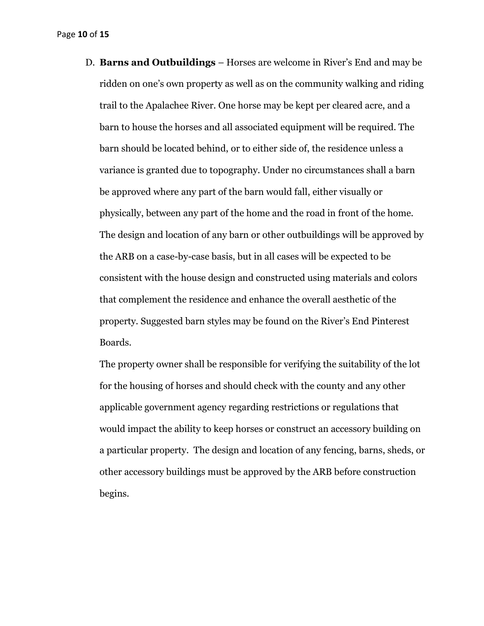D. **Barns and Outbuildings** – Horses are welcome in River's End and may be ridden on one's own property as well as on the community walking and riding trail to the Apalachee River. One horse may be kept per cleared acre, and a barn to house the horses and all associated equipment will be required. The barn should be located behind, or to either side of, the residence unless a variance is granted due to topography. Under no circumstances shall a barn be approved where any part of the barn would fall, either visually or physically, between any part of the home and the road in front of the home. The design and location of any barn or other outbuildings will be approved by the ARB on a case-by-case basis, but in all cases will be expected to be consistent with the house design and constructed using materials and colors that complement the residence and enhance the overall aesthetic of the property. Suggested barn styles may be found on the River's End Pinterest Boards.

The property owner shall be responsible for verifying the suitability of the lot for the housing of horses and should check with the county and any other applicable government agency regarding restrictions or regulations that would impact the ability to keep horses or construct an accessory building on a particular property. The design and location of any fencing, barns, sheds, or other accessory buildings must be approved by the ARB before construction begins.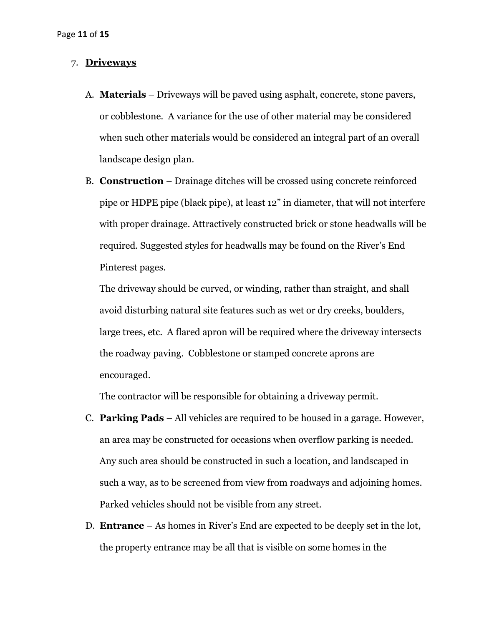#### 7. **Driveways**

- A. **Materials** Driveways will be paved using asphalt, concrete, stone pavers, or cobblestone. A variance for the use of other material may be considered when such other materials would be considered an integral part of an overall landscape design plan.
- B. **Construction** Drainage ditches will be crossed using concrete reinforced pipe or HDPE pipe (black pipe), at least 12" in diameter, that will not interfere with proper drainage. Attractively constructed brick or stone headwalls will be required. Suggested styles for headwalls may be found on the River's End Pinterest pages.

The driveway should be curved, or winding, rather than straight, and shall avoid disturbing natural site features such as wet or dry creeks, boulders, large trees, etc. A flared apron will be required where the driveway intersects the roadway paving. Cobblestone or stamped concrete aprons are encouraged.

The contractor will be responsible for obtaining a driveway permit.

- C. **Parking Pads**  All vehicles are required to be housed in a garage. However, an area may be constructed for occasions when overflow parking is needed. Any such area should be constructed in such a location, and landscaped in such a way, as to be screened from view from roadways and adjoining homes. Parked vehicles should not be visible from any street.
- D. **Entrance**  As homes in River's End are expected to be deeply set in the lot, the property entrance may be all that is visible on some homes in the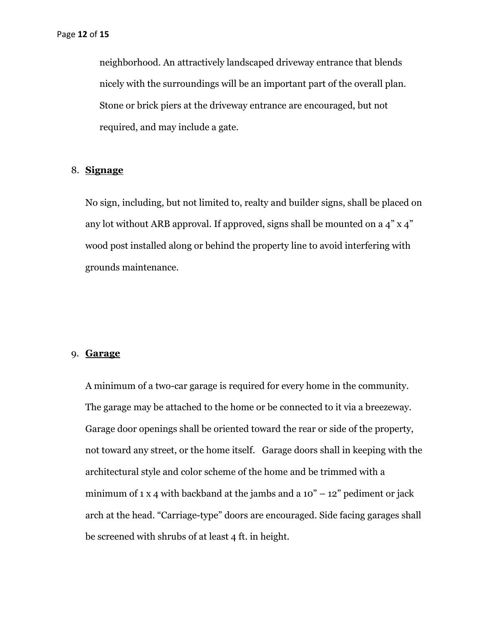neighborhood. An attractively landscaped driveway entrance that blends nicely with the surroundings will be an important part of the overall plan. Stone or brick piers at the driveway entrance are encouraged, but not required, and may include a gate.

#### 8. **Signage**

No sign, including, but not limited to, realty and builder signs, shall be placed on any lot without ARB approval. If approved, signs shall be mounted on a 4" x 4" wood post installed along or behind the property line to avoid interfering with grounds maintenance.

# 9. **Garage**

A minimum of a two-car garage is required for every home in the community. The garage may be attached to the home or be connected to it via a breezeway. Garage door openings shall be oriented toward the rear or side of the property, not toward any street, or the home itself. Garage doors shall in keeping with the architectural style and color scheme of the home and be trimmed with a minimum of 1 x 4 with backband at the jambs and a  $10" - 12"$  pediment or jack arch at the head. "Carriage-type" doors are encouraged. Side facing garages shall be screened with shrubs of at least 4 ft. in height.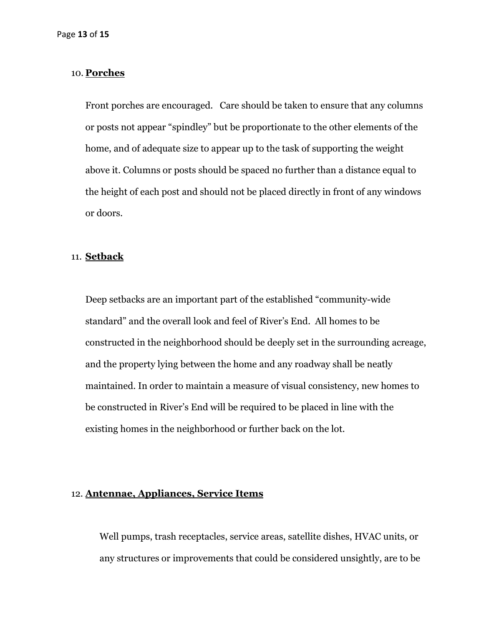#### 10. **Porches**

Front porches are encouraged. Care should be taken to ensure that any columns or posts not appear "spindley" but be proportionate to the other elements of the home, and of adequate size to appear up to the task of supporting the weight above it. Columns or posts should be spaced no further than a distance equal to the height of each post and should not be placed directly in front of any windows or doors.

#### 11. **Setback**

Deep setbacks are an important part of the established "community-wide standard" and the overall look and feel of River's End. All homes to be constructed in the neighborhood should be deeply set in the surrounding acreage, and the property lying between the home and any roadway shall be neatly maintained. In order to maintain a measure of visual consistency, new homes to be constructed in River's End will be required to be placed in line with the existing homes in the neighborhood or further back on the lot.

# 12. **Antennae, Appliances, Service Items**

Well pumps, trash receptacles, service areas, satellite dishes, HVAC units, or any structures or improvements that could be considered unsightly, are to be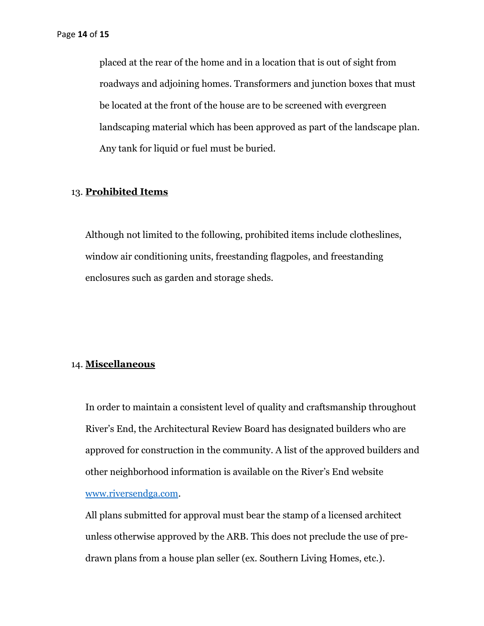placed at the rear of the home and in a location that is out of sight from roadways and adjoining homes. Transformers and junction boxes that must be located at the front of the house are to be screened with evergreen landscaping material which has been approved as part of the landscape plan. Any tank for liquid or fuel must be buried.

#### 13. **Prohibited Items**

Although not limited to the following, prohibited items include clotheslines, window air conditioning units, freestanding flagpoles, and freestanding enclosures such as garden and storage sheds.

#### 14. **Miscellaneous**

In order to maintain a consistent level of quality and craftsmanship throughout River's End, the Architectural Review Board has designated builders who are approved for construction in the community. A list of the approved builders and other neighborhood information is available on the River's End website [www.riversendga.com.](http://www.riversendga.com/)

All plans submitted for approval must bear the stamp of a licensed architect unless otherwise approved by the ARB. This does not preclude the use of predrawn plans from a house plan seller (ex. Southern Living Homes, etc.).